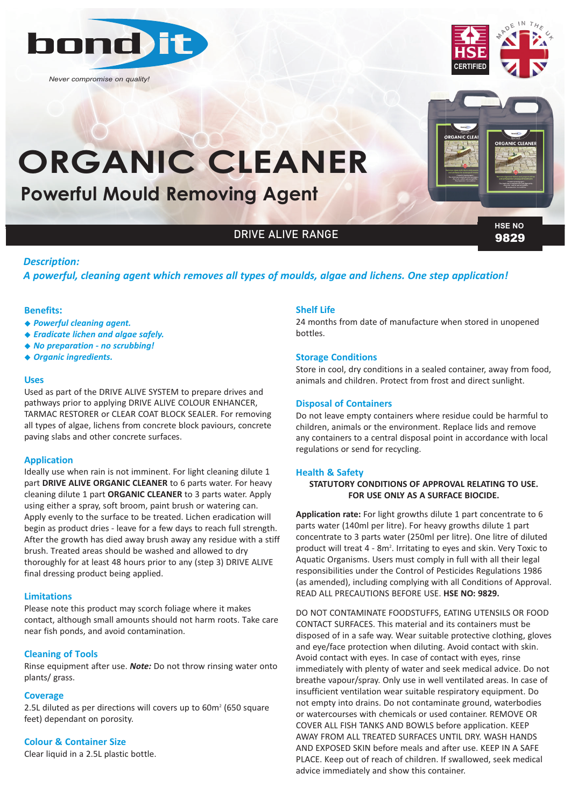

*Never compromise on quality!*



# 9829 **HSE NO**

# *Description:*

# *A powerful, cleaning agent which removes all types of moulds, algae and lichens. One step application!*

DRIVE ALIVE RANGE

## **Benefits:**

- <sup>u</sup> *Powerful cleaning agent.*
- <sup>u</sup> *Eradicate lichen and algae safely.*
- ◆ *No preparation no scrubbina!*
- <sup>u</sup> *Organic ingredients.*

## **Uses**

Used as part of the DRIVE ALIVE SYSTEM to prepare drives and pathways prior to applying DRIVE ALIVE COLOUR ENHANCER, TARMAC RESTORER or CLEAR COAT BLOCK SEALER. For removing all types of algae, lichens from concrete block paviours, concrete paving slabs and other concrete surfaces.

**Powerful Mould Removing Agent**

**ORGANIC CLEANER**

## **Application**

Ideally use when rain is not imminent. For light cleaning dilute 1 part **DRIVE ALIVE ORGANIC CLEANER** to 6 parts water. For heavy cleaning dilute 1 part **ORGANIC CLEANER** to 3 parts water. Apply using either a spray, soft broom, paint brush or watering can. Apply evenly to the surface to be treated. Lichen eradication will begin as product dries - leave for a few days to reach full strength. After the growth has died away brush away any residue with a stiff brush. Treated areas should be washed and allowed to dry thoroughly for at least 48 hours prior to any (step 3) DRIVE ALIVE final dressing product being applied.

## **Limitations**

Please note this product may scorch foliage where it makes contact, although small amounts should not harm roots. Take care near fish ponds, and avoid contamination.

## **Cleaning of Tools**

Rinse equipment after use. *Note:* Do not throw rinsing water onto plants/ grass.

## **Coverage**

2.5L diluted as per directions will covers up to  $60m<sup>2</sup>$  (650 square feet) dependant on porosity.

# **Colour & Container Size**

Clear liquid in a 2.5L plastic bottle.

## **Shelf Life**

24 months from date of manufacture when stored in unopened bottles.

## **Storage Conditions**

Store in cool, dry conditions in a sealed container, away from food, animals and children. Protect from frost and direct sunlight.

## **Disposal of Containers**

Do not leave empty containers where residue could be harmful to children, animals or the environment. Replace lids and remove any containers to a central disposal point in accordance with local regulations or send for recycling.

## **Health & Safety**

## **STATUTORY CONDITIONS OF APPROVAL RELATING TO USE. FOR USE ONLY AS A SURFACE BIOCIDE.**

**Application rate:** For light growths dilute 1 part concentrate to 6 parts water (140ml per litre). For heavy growths dilute 1 part concentrate to 3 parts water (250ml per litre). One litre of diluted product will treat 4 - 8m<sup>2</sup>. Irritating to eyes and skin. Very Toxic to Aquatic Organisms. Users must comply in full with all their legal responsibilities under the Control of Pesticides Regulations 1986 (as amended), including complying with all Conditions of Approval. READ ALL PRECAUTIONS BEFORE USE. **HSE NO: 9829.**

DO NOT CONTAMINATE FOODSTUFFS, EATING UTENSILS OR FOOD CONTACT SURFACES. This material and its containers must be disposed of in a safe way. Wear suitable protective clothing, gloves and eye/face protection when diluting. Avoid contact with skin. Avoid contact with eyes. In case of contact with eyes, rinse immediately with plenty of water and seek medical advice. Do not breathe vapour/spray. Only use in well ventilated areas. In case of insufficient ventilation wear suitable respiratory equipment. Do not empty into drains. Do not contaminate ground, waterbodies or watercourses with chemicals or used container. REMOVE OR COVER ALL FISH TANKS AND BOWLS before application. KEEP AWAY FROM ALL TREATED SURFACES UNTIL DRY. WASH HANDS AND EXPOSED SKIN before meals and after use. KEEP IN A SAFE PLACE. Keep out of reach of children. If swallowed, seek medical advice immediately and show this container.